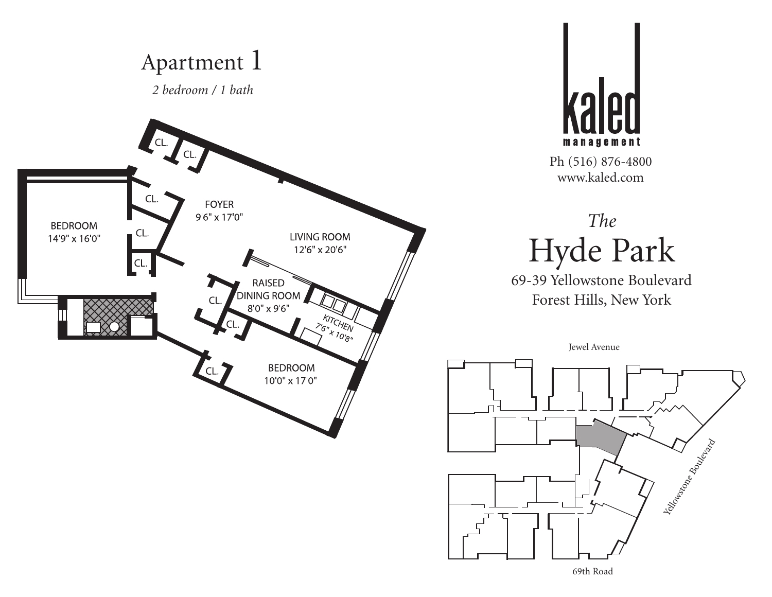



# *The* Hyde Park

69-39 Yellowstone Boulevard Forest Hills, New York

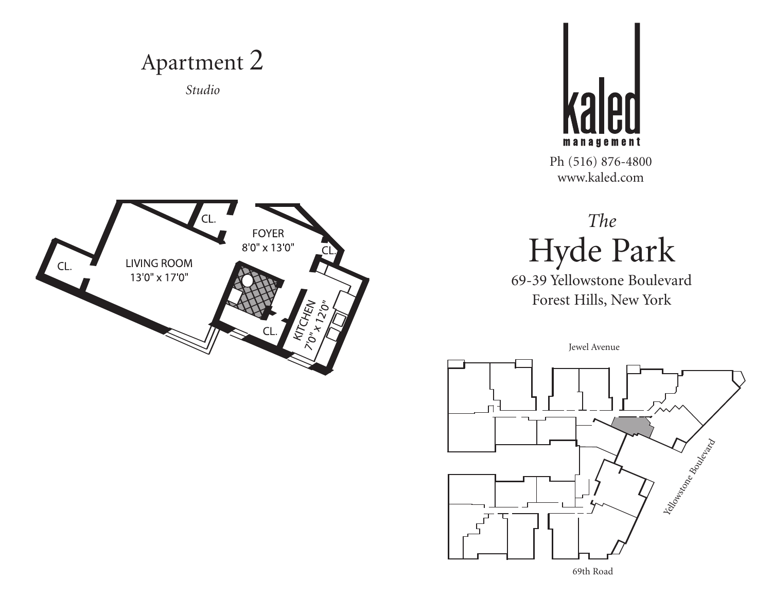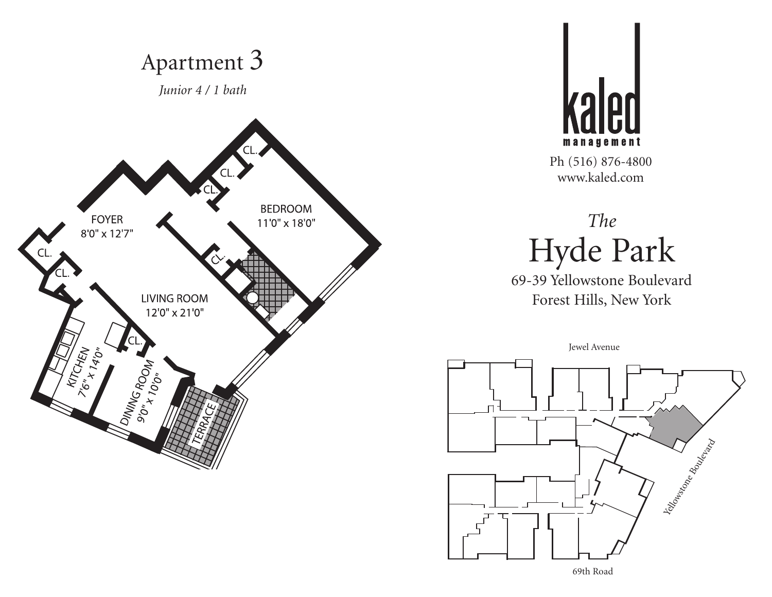



# *The* Hyde Park

69-39 Yellowstone Boulevard Forest Hills, New York

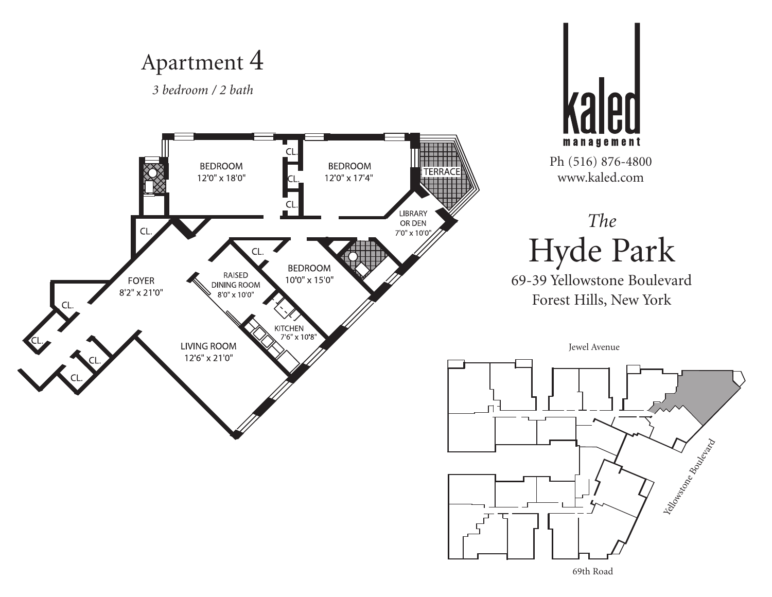*3 bedroom / 2 bath*



Yealowstone Boulevard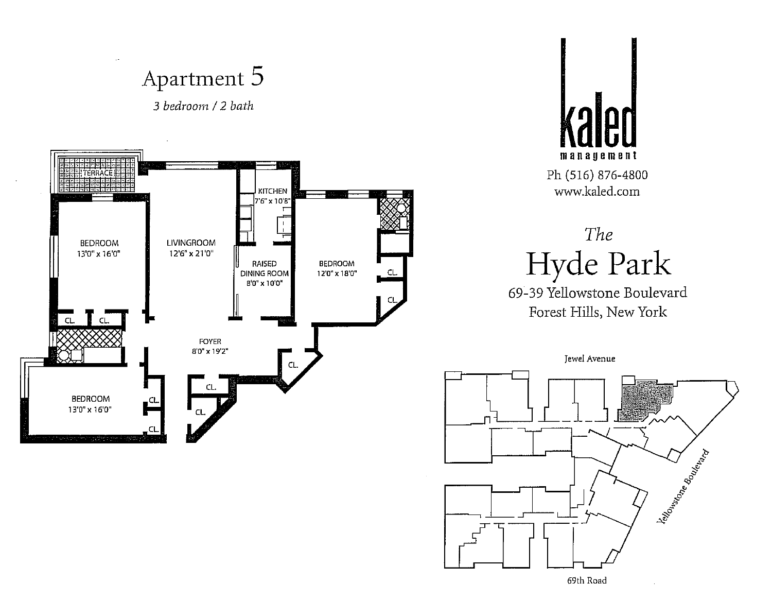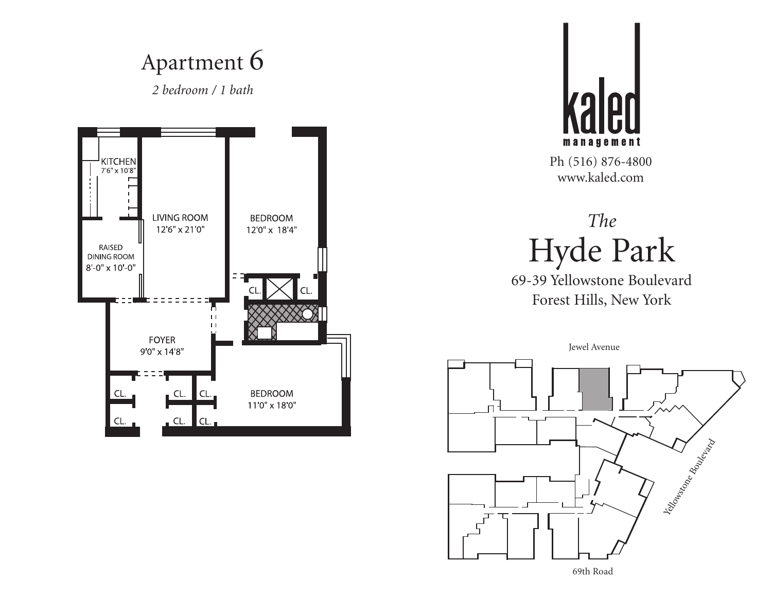#### Apartment 6 *2 bedroom / 1 bath*

KITCHEN<br>7'6" x 10'8" **LIVING ROOM BEDROOM** 12'6" x 21'0" 12'0" x 18'4" RAISED **DINING ROOM**  $8 - 0'' \times 10 - 0''$ D.  $\pm 1$  $\mathbf{H}$ **FOYER** 9'0" x 14'8" **BEDROOM** CL. 11'0" x 18'0" CL.



Ph (516) 876-4800 www.kaled.com

# *The* Hyde Park

69-39 Yellowstone Boulevard Forest Hills, New York

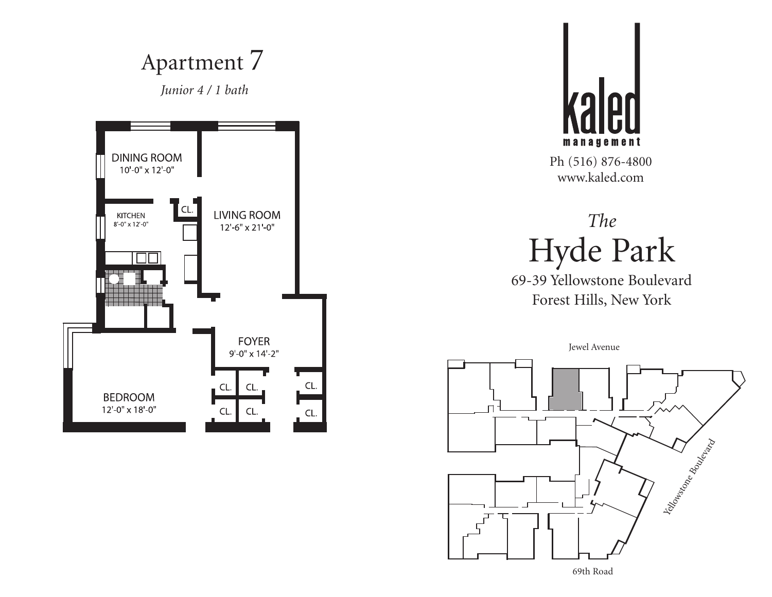



# *The* Hyde Park

69-39 Yellowstone Boulevard Forest Hills, New York

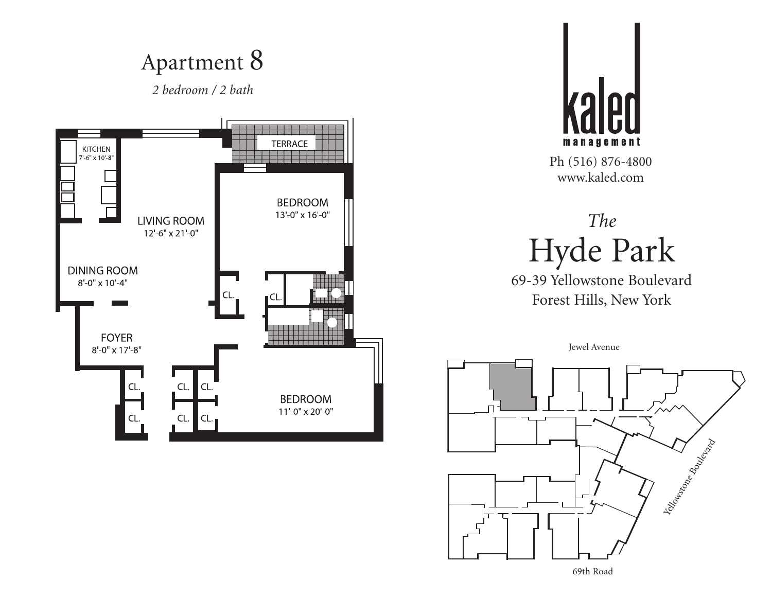*2 bedroom / 2 bath*





Ph (516) 876-4800 www.kaled.com

# *The* Hyde Park

69-39 Yellowstone Boulevard Forest Hills, New York

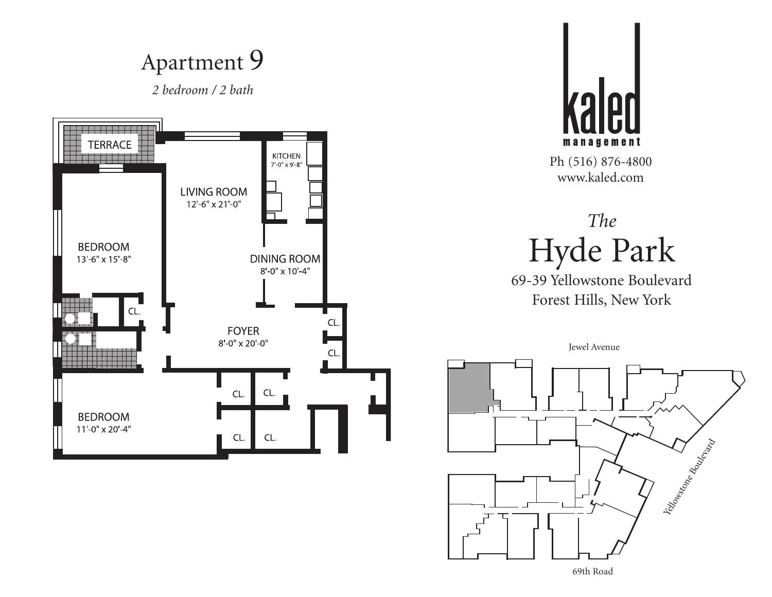

69th Road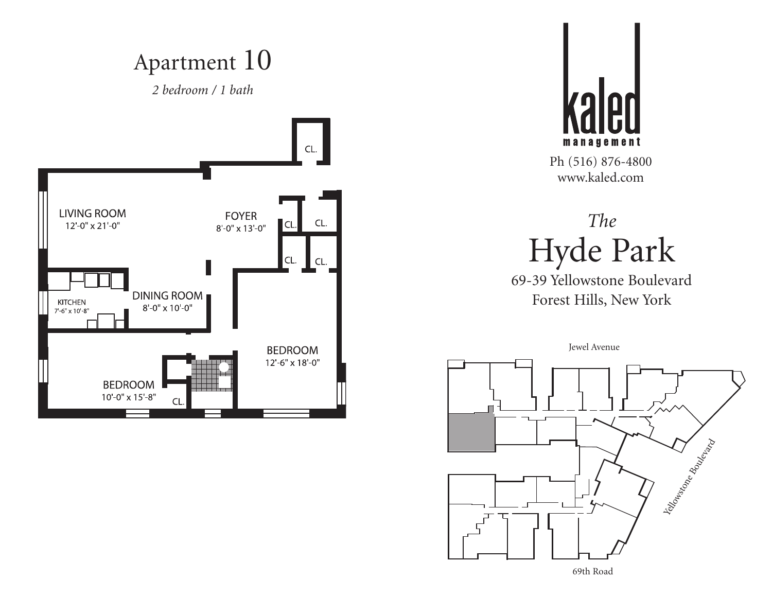*2 bedroom / 1 bath*





Ph (516) 876-4800 www.kaled.com

# *The* Hyde Park

69-39 Yellowstone Boulevard Forest Hills, New York

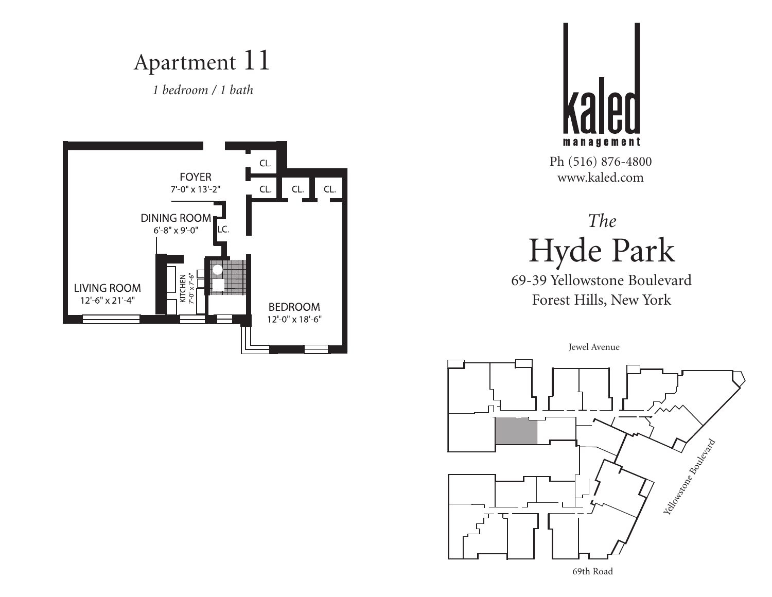*1 bedroom / 1 bath*





Ph (516) 876-4800 www.kaled.com

# *The* Hyde Park

69-39 Yellowstone Boulevard Forest Hills, New York

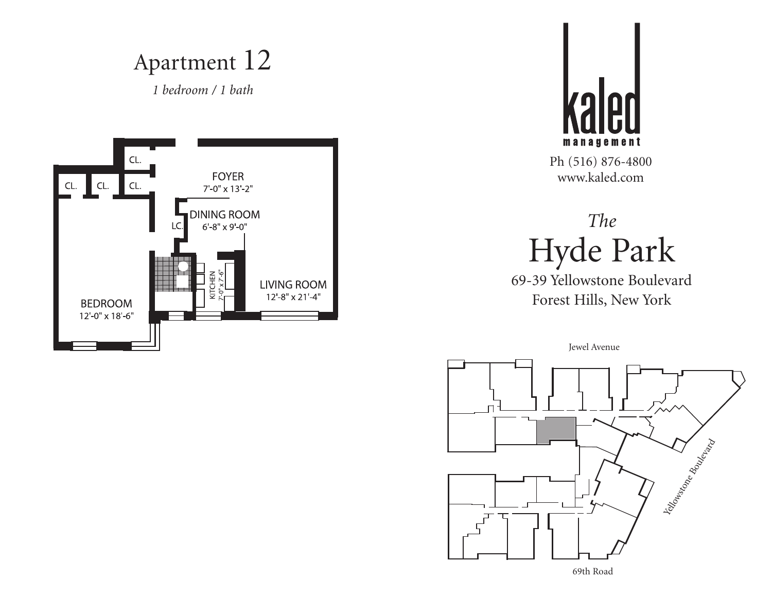Apartment 12





Ph (516) 876-4800 www.kaled.com

# *The* Hyde Park

69-39 Yellowstone Boulevard Forest Hills, New York

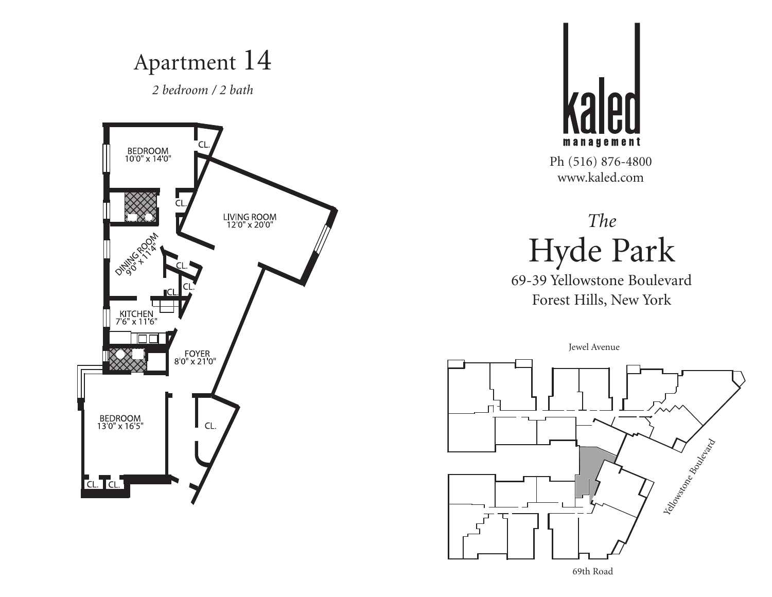



# *The* Hyde Park

69-39 Yellowstone Boulevard Forest Hills, New York

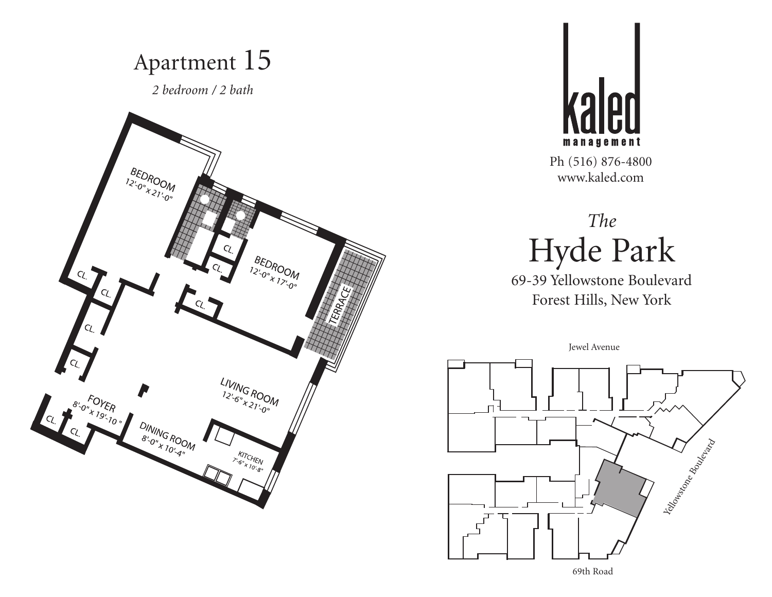



# *The* Hyde Park

69-39 Yellowstone Boulevard Forest Hills, New York

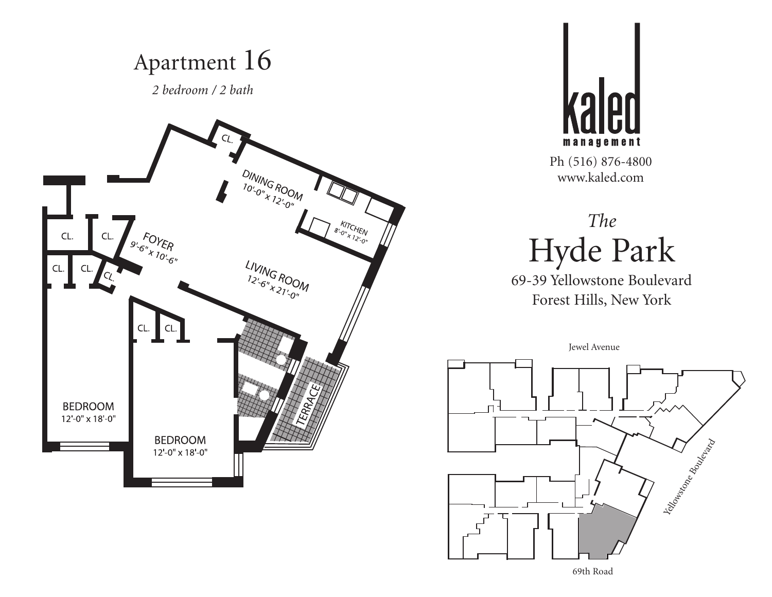



# *The* Hyde Park

69-39 Yellowstone Boulevard Forest Hills, New York

Jewel Avenue



69th Road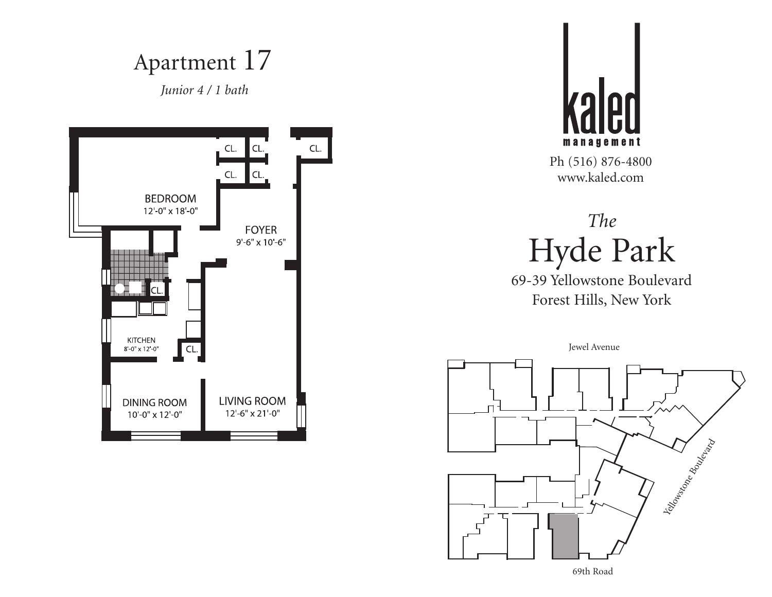*Junior 4 / 1 bath*





Ph (516) 876-4800 www.kaled.com

# *The* Hyde Park

69-39 Yellowstone Boulevard Forest Hills, New York

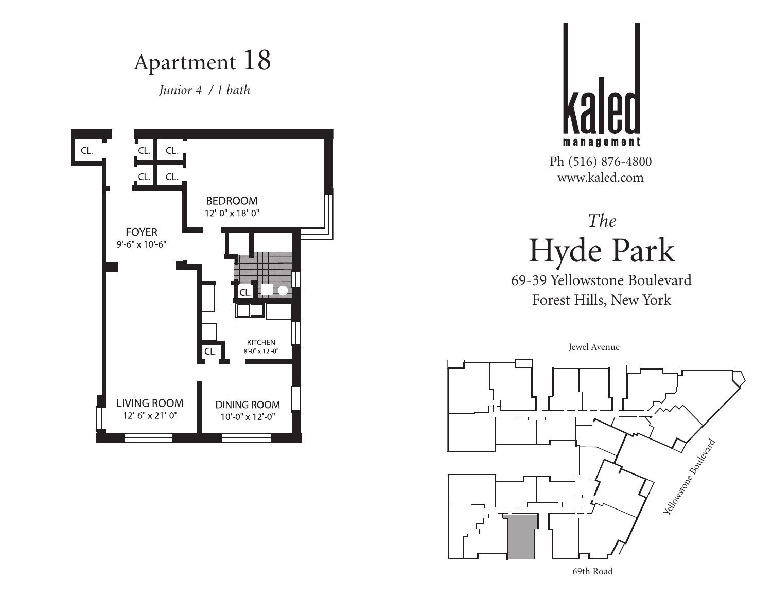*Junior 4 / 1 bath*





Ph (516) 876-4800 www.kaled.com

# *The* Hyde Park

69-39 Yellowstone Boulevard Forest Hills, New York

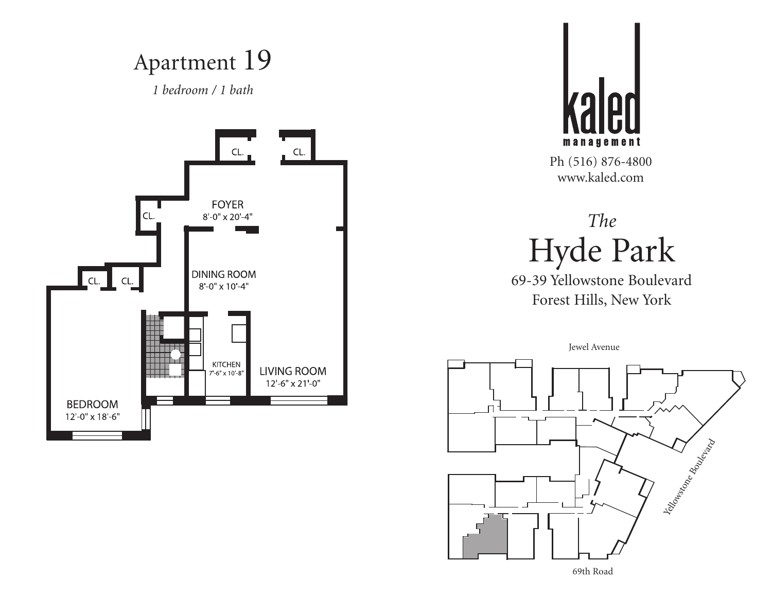Apartment 19





Ph (516) 876-4800 www.kaled.com

# *The* Hyde Park

69-39 Yellowstone Boulevard Forest Hills, New York

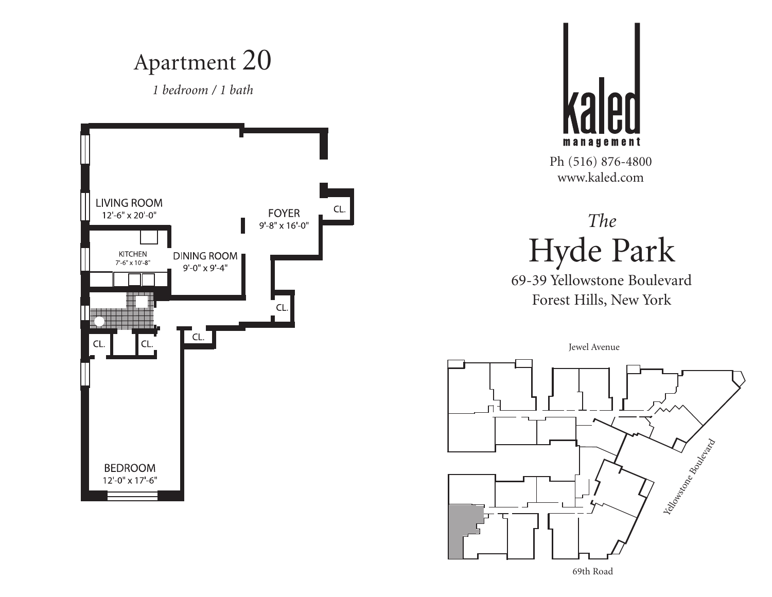Apartment 20





Ph (516) 876-4800 www.kaled.com

#### *The* Hyde Park

69-39 Yellowstone Boulevard Forest Hills, New York

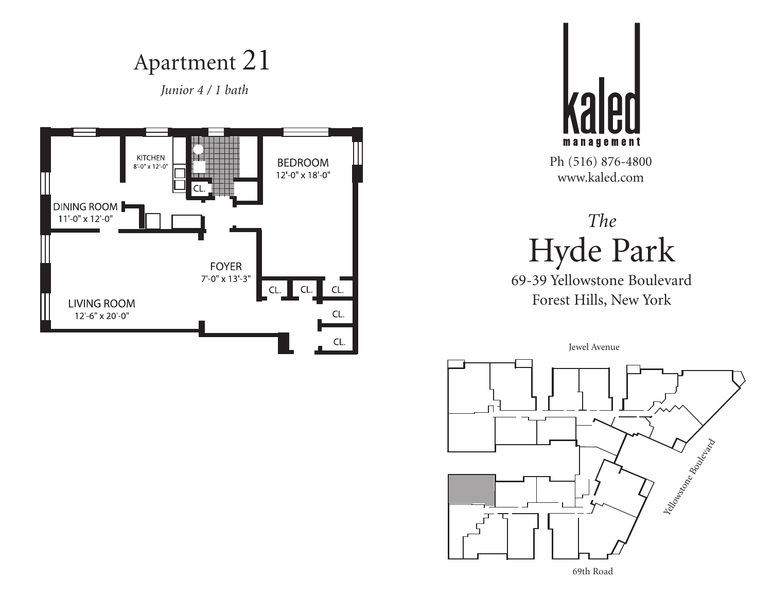*Junior 4 / 1 bath*





Ph (516) 876-4800 www.kaled.com

# *The* Hyde Park

69-39 Yellowstone Boulevard Forest Hills, New York

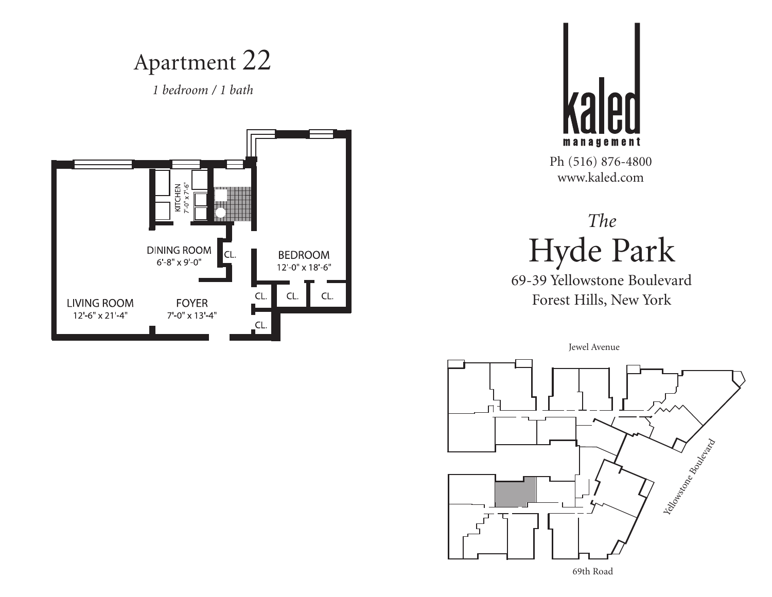Apartment 22





Ph (516) 876-4800 www.kaled.com

# *The* Hyde Park

69-39 Yellowstone Boulevard Forest Hills, New York